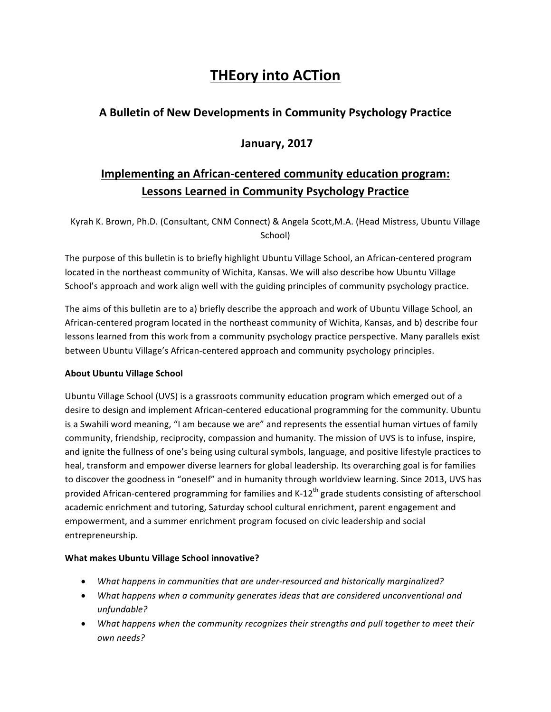# **THEory into ACTion**

### **A Bulletin of New Developments in Community Psychology Practice**

### **January, 2017**

## **Implementing an African-centered community education program:** Lessons Learned in Community Psychology Practice

Kyrah K. Brown, Ph.D. (Consultant, CNM Connect) & Angela Scott, M.A. (Head Mistress, Ubuntu Village School)

The purpose of this bulletin is to briefly highlight Ubuntu Village School, an African-centered program located in the northeast community of Wichita, Kansas. We will also describe how Ubuntu Village School's approach and work align well with the guiding principles of community psychology practice.

The aims of this bulletin are to a) briefly describe the approach and work of Ubuntu Village School, an African-centered program located in the northeast community of Wichita, Kansas, and b) describe four lessons learned from this work from a community psychology practice perspective. Many parallels exist between Ubuntu Village's African-centered approach and community psychology principles.

#### **About Ubuntu Village School**

Ubuntu Village School (UVS) is a grassroots community education program which emerged out of a desire to design and implement African-centered educational programming for the community. Ubuntu is a Swahili word meaning, "I am because we are" and represents the essential human virtues of family community, friendship, reciprocity, compassion and humanity. The mission of UVS is to infuse, inspire, and ignite the fullness of one's being using cultural symbols, language, and positive lifestyle practices to heal, transform and empower diverse learners for global leadership. Its overarching goal is for families to discover the goodness in "oneself" and in humanity through worldview learning. Since 2013, UVS has provided African-centered programming for families and  $K-12<sup>th</sup>$  grade students consisting of afterschool academic enrichment and tutoring, Saturday school cultural enrichment, parent engagement and empowerment, and a summer enrichment program focused on civic leadership and social entrepreneurship.

#### **What makes Ubuntu Village School innovative?**

- What happens in communities that are under-resourced and historically marginalized?
- What happens when a community generates *ideas* that are considered unconventional and *unfundable?*
- What happens when the community recognizes their strengths and pull together to meet their *own needs?*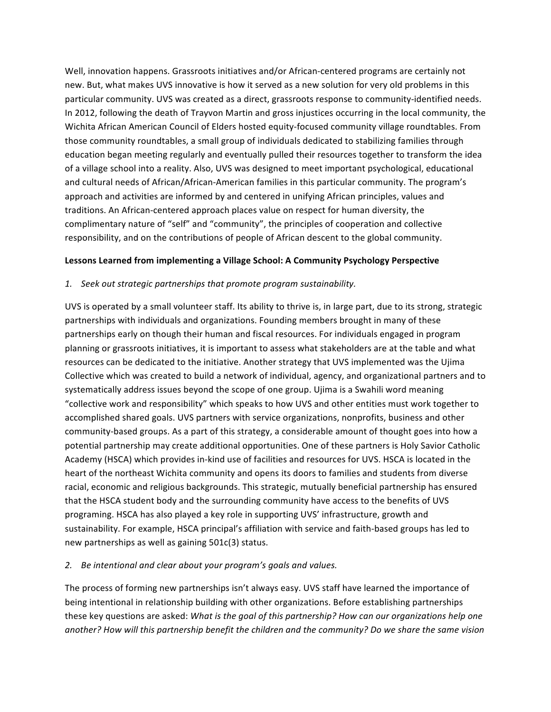Well, innovation happens. Grassroots initiatives and/or African-centered programs are certainly not new. But, what makes UVS innovative is how it served as a new solution for very old problems in this particular community. UVS was created as a direct, grassroots response to community-identified needs. In 2012, following the death of Trayvon Martin and gross injustices occurring in the local community, the Wichita African American Council of Elders hosted equity-focused community village roundtables. From those community roundtables, a small group of individuals dedicated to stabilizing families through education began meeting regularly and eventually pulled their resources together to transform the idea of a village school into a reality. Also, UVS was designed to meet important psychological, educational and cultural needs of African/African-American families in this particular community. The program's approach and activities are informed by and centered in unifying African principles, values and traditions. An African-centered approach places value on respect for human diversity, the complimentary nature of "self" and "community", the principles of cooperation and collective responsibility, and on the contributions of people of African descent to the global community.

#### Lessons Learned from implementing a Village School: A Community Psychology Perspective

#### *1. Seek out strategic partnerships that promote program sustainability.*

UVS is operated by a small volunteer staff. Its ability to thrive is, in large part, due to its strong, strategic partnerships with individuals and organizations. Founding members brought in many of these partnerships early on though their human and fiscal resources. For individuals engaged in program planning or grassroots initiatives, it is important to assess what stakeholders are at the table and what resources can be dedicated to the initiative. Another strategy that UVS implemented was the Ujima Collective which was created to build a network of individual, agency, and organizational partners and to systematically address issues beyond the scope of one group. Ujima is a Swahili word meaning "collective work and responsibility" which speaks to how UVS and other entities must work together to accomplished shared goals. UVS partners with service organizations, nonprofits, business and other community-based groups. As a part of this strategy, a considerable amount of thought goes into how a potential partnership may create additional opportunities. One of these partners is Holy Savior Catholic Academy (HSCA) which provides in-kind use of facilities and resources for UVS. HSCA is located in the heart of the northeast Wichita community and opens its doors to families and students from diverse racial, economic and religious backgrounds. This strategic, mutually beneficial partnership has ensured that the HSCA student body and the surrounding community have access to the benefits of UVS programing. HSCA has also played a key role in supporting UVS' infrastructure, growth and sustainability. For example, HSCA principal's affiliation with service and faith-based groups has led to new partnerships as well as gaining  $501c(3)$  status.

#### 2. Be intentional and clear about your program's goals and values.

The process of forming new partnerships isn't always easy. UVS staff have learned the importance of being intentional in relationship building with other organizations. Before establishing partnerships these key questions are asked: *What is the goal of this partnership? How can our organizations help one* another? How will this partnership benefit the children and the community? Do we share the same vision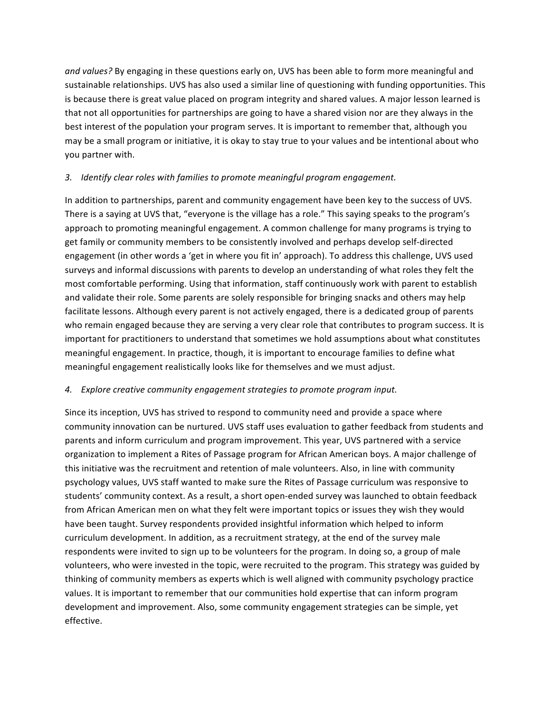and values? By engaging in these questions early on, UVS has been able to form more meaningful and sustainable relationships. UVS has also used a similar line of questioning with funding opportunities. This is because there is great value placed on program integrity and shared values. A major lesson learned is that not all opportunities for partnerships are going to have a shared vision nor are they always in the best interest of the population your program serves. It is important to remember that, although you may be a small program or initiative, it is okay to stay true to your values and be intentional about who you partner with.

#### *3. Identify clear roles with families to promote meaningful program engagement.*

In addition to partnerships, parent and community engagement have been key to the success of UVS. There is a saying at UVS that, "everyone is the village has a role." This saying speaks to the program's approach to promoting meaningful engagement. A common challenge for many programs is trying to get family or community members to be consistently involved and perhaps develop self-directed engagement (in other words a 'get in where you fit in' approach). To address this challenge, UVS used surveys and informal discussions with parents to develop an understanding of what roles they felt the most comfortable performing. Using that information, staff continuously work with parent to establish and validate their role. Some parents are solely responsible for bringing snacks and others may help facilitate lessons. Although every parent is not actively engaged, there is a dedicated group of parents who remain engaged because they are serving a very clear role that contributes to program success. It is important for practitioners to understand that sometimes we hold assumptions about what constitutes meaningful engagement. In practice, though, it is important to encourage families to define what meaningful engagement realistically looks like for themselves and we must adjust.

#### *4. Explore creative community engagement strategies to promote program input.*

Since its inception, UVS has strived to respond to community need and provide a space where community innovation can be nurtured. UVS staff uses evaluation to gather feedback from students and parents and inform curriculum and program improvement. This year, UVS partnered with a service organization to implement a Rites of Passage program for African American boys. A major challenge of this initiative was the recruitment and retention of male volunteers. Also, in line with community psychology values, UVS staff wanted to make sure the Rites of Passage curriculum was responsive to students' community context. As a result, a short open-ended survey was launched to obtain feedback from African American men on what they felt were important topics or issues they wish they would have been taught. Survey respondents provided insightful information which helped to inform curriculum development. In addition, as a recruitment strategy, at the end of the survey male respondents were invited to sign up to be volunteers for the program. In doing so, a group of male volunteers, who were invested in the topic, were recruited to the program. This strategy was guided by thinking of community members as experts which is well aligned with community psychology practice values. It is important to remember that our communities hold expertise that can inform program development and improvement. Also, some community engagement strategies can be simple, yet effective.